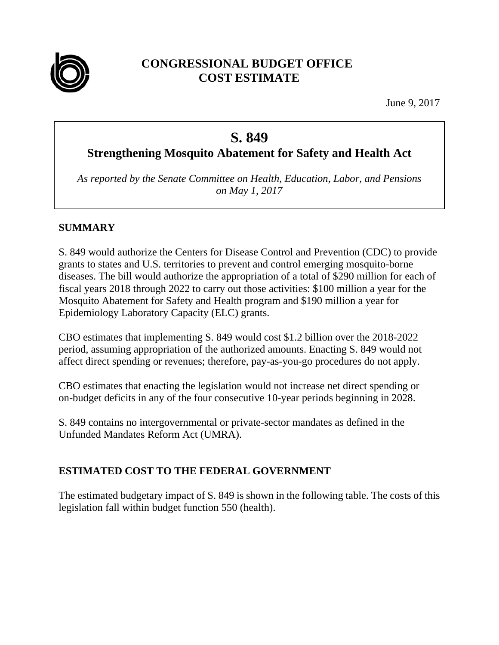

# **CONGRESSIONAL BUDGET OFFICE COST ESTIMATE**

June 9, 2017

# **S. 849**

**Strengthening Mosquito Abatement for Safety and Health Act** 

*As reported by the Senate Committee on Health, Education, Labor, and Pensions on May 1, 2017*

# **SUMMARY**

S. 849 would authorize the Centers for Disease Control and Prevention (CDC) to provide grants to states and U.S. territories to prevent and control emerging mosquito-borne diseases. The bill would authorize the appropriation of a total of \$290 million for each of fiscal years 2018 through 2022 to carry out those activities: \$100 million a year for the Mosquito Abatement for Safety and Health program and \$190 million a year for Epidemiology Laboratory Capacity (ELC) grants.

CBO estimates that implementing S. 849 would cost \$1.2 billion over the 2018-2022 period, assuming appropriation of the authorized amounts. Enacting S. 849 would not affect direct spending or revenues; therefore, pay-as-you-go procedures do not apply.

CBO estimates that enacting the legislation would not increase net direct spending or on-budget deficits in any of the four consecutive 10-year periods beginning in 2028.

S. 849 contains no intergovernmental or private-sector mandates as defined in the Unfunded Mandates Reform Act (UMRA).

# **ESTIMATED COST TO THE FEDERAL GOVERNMENT**

The estimated budgetary impact of S. 849 is shown in the following table. The costs of this legislation fall within budget function 550 (health).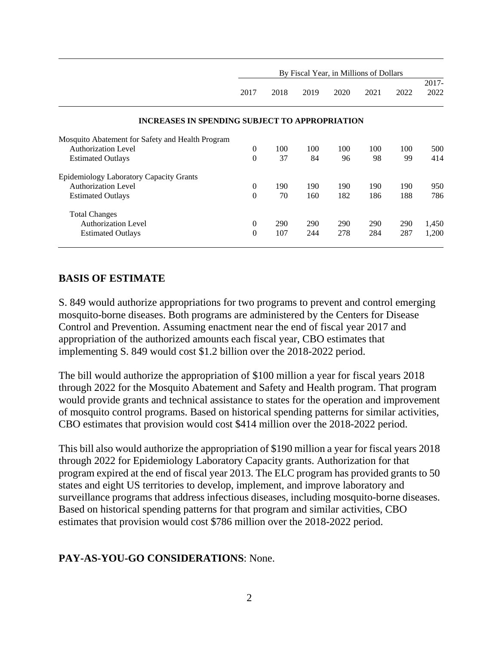|                                                       | By Fiscal Year, in Millions of Dollars |      |      |      |            |      |                  |
|-------------------------------------------------------|----------------------------------------|------|------|------|------------|------|------------------|
|                                                       | 2017                                   | 2018 | 2019 | 2020 | 2021       | 2022 | $2017 -$<br>2022 |
| <b>INCREASES IN SPENDING SUBJECT TO APPROPRIATION</b> |                                        |      |      |      |            |      |                  |
| Mosquito Abatement for Safety and Health Program      |                                        |      |      |      |            |      |                  |
| <b>Authorization Level</b>                            | $\Omega$                               | 100  | 100  | 100  | 100        | 100  | 500              |
| <b>Estimated Outlays</b>                              | $\theta$                               | 37   | 84   | 96   | 98         | 99   | 414              |
| Epidemiology Laboratory Capacity Grants               |                                        |      |      |      |            |      |                  |
| <b>Authorization Level</b>                            | $\Omega$                               | 190  | 190  | 190  | 190        | 190  | 950              |
| <b>Estimated Outlays</b>                              | $\theta$                               | 70   | 160  | 182  | 186        | 188  | 786              |
| <b>Total Changes</b>                                  |                                        |      |      |      |            |      |                  |
| <b>Authorization Level</b>                            | $\mathbf{0}$                           | 290  | 290  | 290  | <b>290</b> | 290  | 1,450            |
| <b>Estimated Outlays</b>                              | $\theta$                               | 107  | 244  | 278  | 284        | 287  | 1,200            |

#### **BASIS OF ESTIMATE**

S. 849 would authorize appropriations for two programs to prevent and control emerging mosquito-borne diseases. Both programs are administered by the Centers for Disease Control and Prevention. Assuming enactment near the end of fiscal year 2017 and appropriation of the authorized amounts each fiscal year, CBO estimates that implementing S. 849 would cost \$1.2 billion over the 2018-2022 period.

The bill would authorize the appropriation of \$100 million a year for fiscal years 2018 through 2022 for the Mosquito Abatement and Safety and Health program. That program would provide grants and technical assistance to states for the operation and improvement of mosquito control programs. Based on historical spending patterns for similar activities, CBO estimates that provision would cost \$414 million over the 2018-2022 period.

This bill also would authorize the appropriation of \$190 million a year for fiscal years 2018 through 2022 for Epidemiology Laboratory Capacity grants. Authorization for that program expired at the end of fiscal year 2013. The ELC program has provided grants to 50 states and eight US territories to develop, implement, and improve laboratory and surveillance programs that address infectious diseases, including mosquito-borne diseases. Based on historical spending patterns for that program and similar activities, CBO estimates that provision would cost \$786 million over the 2018-2022 period.

#### **PAY-AS-YOU-GO CONSIDERATIONS**: None.